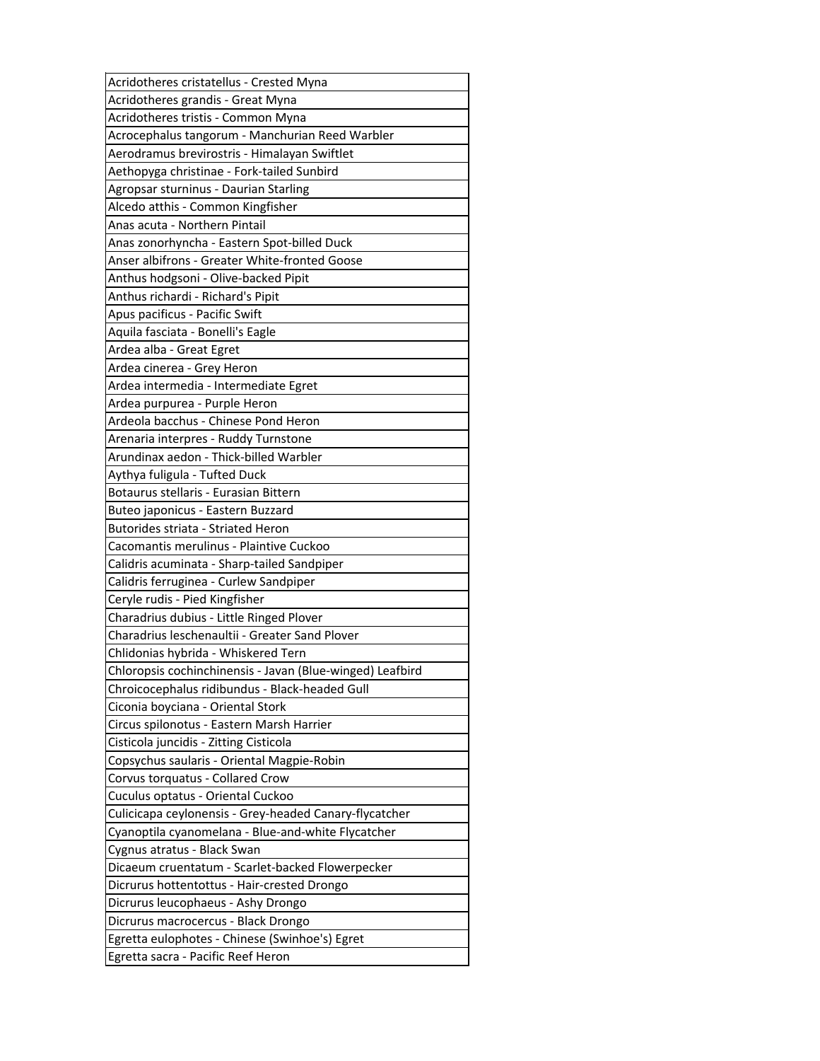| Acridotheres cristatellus - Crested Myna                  |
|-----------------------------------------------------------|
| Acridotheres grandis - Great Myna                         |
| Acridotheres tristis - Common Myna                        |
| Acrocephalus tangorum - Manchurian Reed Warbler           |
| Aerodramus brevirostris - Himalayan Swiftlet              |
| Aethopyga christinae - Fork-tailed Sunbird                |
| Agropsar sturninus - Daurian Starling                     |
| Alcedo atthis - Common Kingfisher                         |
| Anas acuta - Northern Pintail                             |
| Anas zonorhyncha - Eastern Spot-billed Duck               |
| Anser albifrons - Greater White-fronted Goose             |
| Anthus hodgsoni - Olive-backed Pipit                      |
| Anthus richardi - Richard's Pipit                         |
| Apus pacificus - Pacific Swift                            |
| Aquila fasciata - Bonelli's Eagle                         |
| Ardea alba - Great Egret                                  |
| Ardea cinerea - Grey Heron                                |
| Ardea intermedia - Intermediate Egret                     |
| Ardea purpurea - Purple Heron                             |
| Ardeola bacchus - Chinese Pond Heron                      |
| Arenaria interpres - Ruddy Turnstone                      |
| Arundinax aedon - Thick-billed Warbler                    |
| Aythya fuligula - Tufted Duck                             |
| Botaurus stellaris - Eurasian Bittern                     |
| Buteo japonicus - Eastern Buzzard                         |
|                                                           |
| Butorides striata - Striated Heron                        |
| Cacomantis merulinus - Plaintive Cuckoo                   |
| Calidris acuminata - Sharp-tailed Sandpiper               |
| Calidris ferruginea - Curlew Sandpiper                    |
| Ceryle rudis - Pied Kingfisher                            |
| Charadrius dubius - Little Ringed Plover                  |
| Charadrius leschenaultii - Greater Sand Plover            |
| Chlidonias hybrida - Whiskered Tern                       |
| Chloropsis cochinchinensis - Javan (Blue-winged) Leafbird |
| Chroicocephalus ridibundus - Black-headed Gull            |
| Ciconia boyciana - Oriental Stork                         |
| Circus spilonotus - Eastern Marsh Harrier                 |
| Cisticola juncidis - Zitting Cisticola                    |
| Copsychus saularis - Oriental Magpie-Robin                |
| Corvus torquatus - Collared Crow                          |
| Cuculus optatus - Oriental Cuckoo                         |
| Culicicapa ceylonensis - Grey-headed Canary-flycatcher    |
| Cyanoptila cyanomelana - Blue-and-white Flycatcher        |
| Cygnus atratus - Black Swan                               |
| Dicaeum cruentatum - Scarlet-backed Flowerpecker          |
| Dicrurus hottentottus - Hair-crested Drongo               |
| Dicrurus leucophaeus - Ashy Drongo                        |
| Dicrurus macrocercus - Black Drongo                       |
| Egretta eulophotes - Chinese (Swinhoe's) Egret            |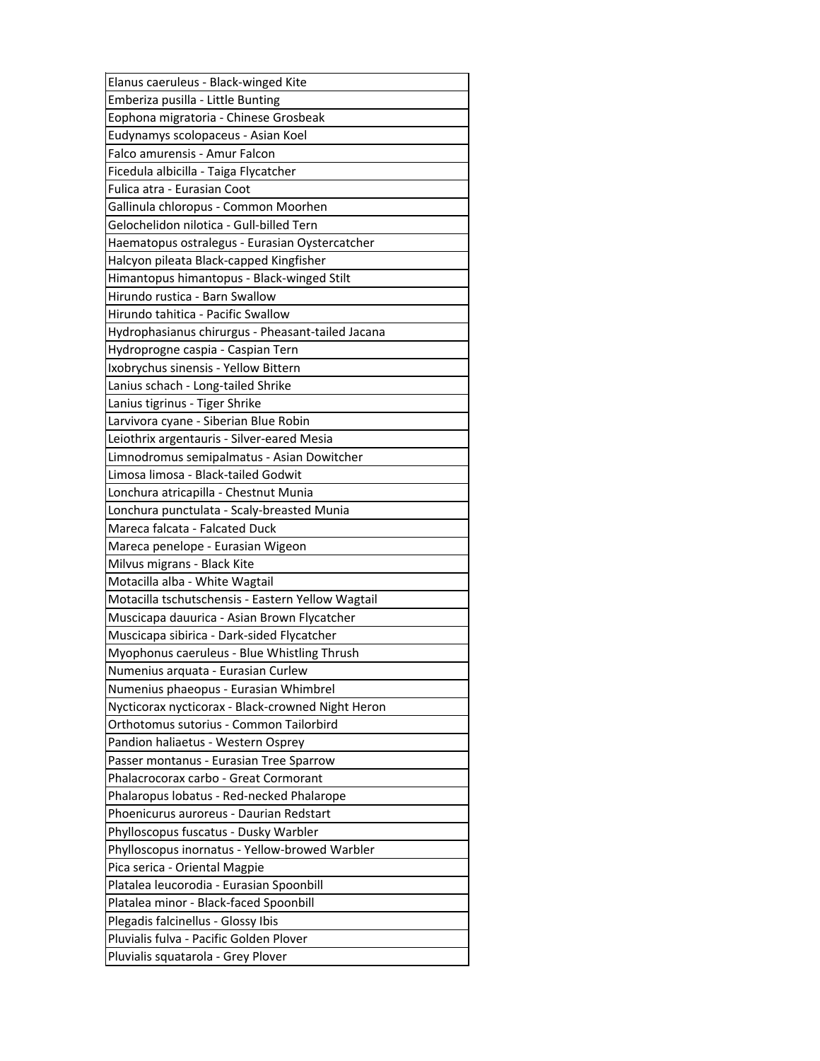| Elanus caeruleus - Black-winged Kite              |
|---------------------------------------------------|
| Emberiza pusilla - Little Bunting                 |
| Eophona migratoria - Chinese Grosbeak             |
| Eudynamys scolopaceus - Asian Koel                |
| Falco amurensis - Amur Falcon                     |
| Ficedula albicilla - Taiga Flycatcher             |
| Fulica atra - Eurasian Coot                       |
| Gallinula chloropus - Common Moorhen              |
| Gelochelidon nilotica - Gull-billed Tern          |
| Haematopus ostralegus - Eurasian Oystercatcher    |
| Halcyon pileata Black-capped Kingfisher           |
| Himantopus himantopus - Black-winged Stilt        |
| Hirundo rustica - Barn Swallow                    |
| Hirundo tahitica - Pacific Swallow                |
| Hydrophasianus chirurgus - Pheasant-tailed Jacana |
| Hydroprogne caspia - Caspian Tern                 |
| Ixobrychus sinensis - Yellow Bittern              |
| Lanius schach - Long-tailed Shrike                |
| Lanius tigrinus - Tiger Shrike                    |
| Larvivora cyane - Siberian Blue Robin             |
| Leiothrix argentauris - Silver-eared Mesia        |
| Limnodromus semipalmatus - Asian Dowitcher        |
| Limosa limosa - Black-tailed Godwit               |
| Lonchura atricapilla - Chestnut Munia             |
| Lonchura punctulata - Scaly-breasted Munia        |
|                                                   |
| Mareca falcata - Falcated Duck                    |
| Mareca penelope - Eurasian Wigeon                 |
| Milvus migrans - Black Kite                       |
| Motacilla alba - White Wagtail                    |
| Motacilla tschutschensis - Eastern Yellow Wagtail |
| Muscicapa dauurica - Asian Brown Flycatcher       |
| Muscicapa sibirica - Dark-sided Flycatcher        |
| Myophonus caeruleus - Blue Whistling Thrush       |
| Numenius arquata - Eurasian Curlew                |
| Numenius phaeopus - Eurasian Whimbrel             |
| Nycticorax nycticorax - Black-crowned Night Heron |
| Orthotomus sutorius - Common Tailorbird           |
| Pandion haliaetus - Western Osprey                |
| Passer montanus - Eurasian Tree Sparrow           |
| Phalacrocorax carbo - Great Cormorant             |
| Phalaropus lobatus - Red-necked Phalarope         |
| Phoenicurus auroreus - Daurian Redstart           |
| Phylloscopus fuscatus - Dusky Warbler             |
| Phylloscopus inornatus - Yellow-browed Warbler    |
| Pica serica - Oriental Magpie                     |
| Platalea leucorodia - Eurasian Spoonbill          |
| Platalea minor - Black-faced Spoonbill            |
| Plegadis falcinellus - Glossy Ibis                |
| Pluvialis fulva - Pacific Golden Plover           |